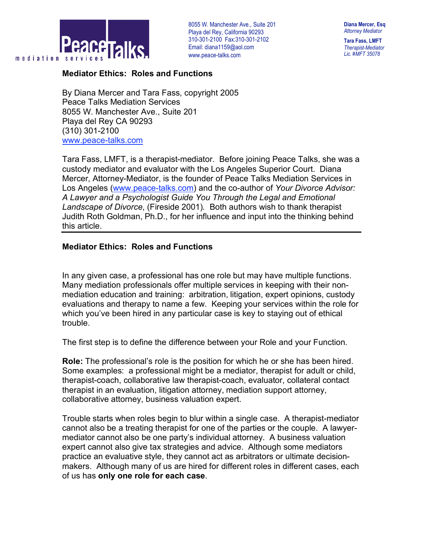

8055 W. Manchester Ave., Suite 201 . Playa del Rey, California 90293 310-301-2100 Fax:310-301-2102 Email: diana1159@aol.com www.peace-talks.com

**Diana Mercer, Esq** *Attorney Mediator*

**Tara Fass, LMFT** *Therapist-Mediator Lic. #MFT 35078*

## **Mediator Ethics: Roles and Functions**

By Diana Mercer and Tara Fass, copyright 2005 Peace Talks Mediation Services 8055 W. Manchester Ave., Suite 201 Playa del Rey CA 90293 (310) 301-2100 www.peace-talks.com

Tara Fass, LMFT, is a therapist-mediator. Before joining Peace Talks, she was a custody mediator and evaluator with the Los Angeles Superior Court. Diana Mercer, Attorney-Mediator, is the founder of Peace Talks Mediation Services in Los Angeles (www.peace-talks.com) and the co-author of *Your Divorce Advisor: A Lawyer and a Psychologist Guide You Through the Legal and Emotional Landscape of Divorce*, (Fireside 2001)*.* Both authors wish to thank therapist Judith Roth Goldman, Ph.D., for her influence and input into the thinking behind this article.

## **Mediator Ethics: Roles and Functions**

In any given case, a professional has one role but may have multiple functions. Many mediation professionals offer multiple services in keeping with their nonmediation education and training: arbitration, litigation, expert opinions, custody evaluations and therapy to name a few. Keeping your services within the role for which you've been hired in any particular case is key to staying out of ethical trouble.

The first step is to define the difference between your Role and your Function.

**Role:** The professional's role is the position for which he or she has been hired. Some examples: a professional might be a mediator, therapist for adult or child, therapist-coach, collaborative law therapist-coach, evaluator, collateral contact therapist in an evaluation, litigation attorney, mediation support attorney, collaborative attorney, business valuation expert.

Trouble starts when roles begin to blur within a single case. A therapist-mediator cannot also be a treating therapist for one of the parties or the couple. A lawyermediator cannot also be one party's individual attorney. A business valuation expert cannot also give tax strategies and advice. Although some mediators practice an evaluative style, they cannot act as arbitrators or ultimate decisionmakers. Although many of us are hired for different roles in different cases, each of us has **only one role for each case**.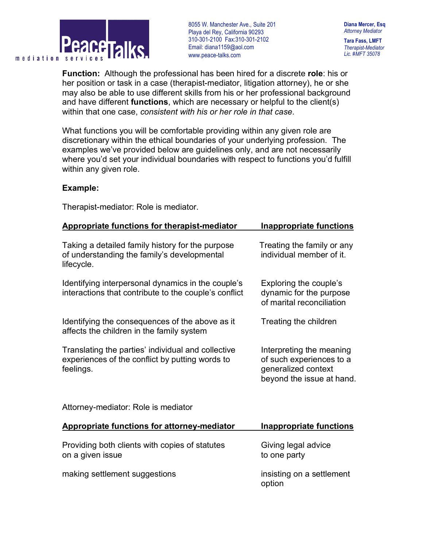

8055 W. Manchester Ave., Suite 201 . Playa del Rey, California 90293 310-301-2100 Fax:310-301-2102 Email: diana1159@aol.com www.peace-talks.com

**Diana Mercer, Esq** *Attorney Mediator*

**Tara Fass, LMFT** *Therapist-Mediator Lic. #MFT 35078*

**Function:** Although the professional has been hired for a discrete **role**: his or her position or task in a case (therapist-mediator, litigation attorney), he or she may also be able to use different skills from his or her professional background and have different **functions**, which are necessary or helpful to the client(s) within that one case, *consistent with his or her role in that case*.

What functions you will be comfortable providing within any given role are discretionary within the ethical boundaries of your underlying profession. The examples we've provided below are guidelines only, and are not necessarily where you'd set your individual boundaries with respect to functions you'd fulfill within any given role.

## **Example:**

Therapist-mediator: Role is mediator.

| <b>Appropriate functions for therapist-mediator</b>                                                                | <b>Inappropriate functions</b>                                                                           |
|--------------------------------------------------------------------------------------------------------------------|----------------------------------------------------------------------------------------------------------|
| Taking a detailed family history for the purpose<br>of understanding the family's developmental<br>lifecycle.      | Treating the family or any<br>individual member of it.                                                   |
| Identifying interpersonal dynamics in the couple's<br>interactions that contribute to the couple's conflict        | Exploring the couple's<br>dynamic for the purpose<br>of marital reconciliation                           |
| Identifying the consequences of the above as it<br>affects the children in the family system                       | Treating the children                                                                                    |
| Translating the parties' individual and collective<br>experiences of the conflict by putting words to<br>feelings. | Interpreting the meaning<br>of such experiences to a<br>generalized context<br>beyond the issue at hand. |
| Attorney-mediator: Role is mediator                                                                                |                                                                                                          |
| <b>Appropriate functions for attorney-mediator</b>                                                                 | <b>Inappropriate functions</b>                                                                           |
| Providing both clients with copies of statutes<br>on a given issue                                                 | Giving legal advice<br>to one party                                                                      |

making settlement suggestions insisting on a settlement

option